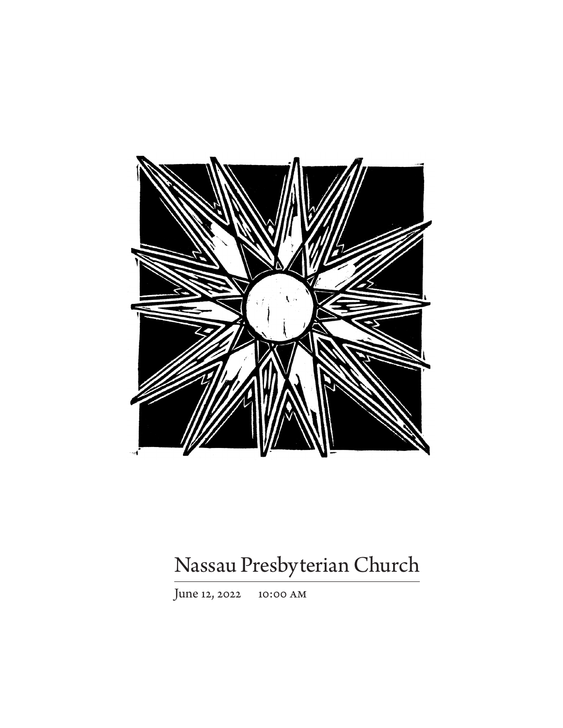

# Nassau Presbyterian Church

June 12, 2022 10:00 am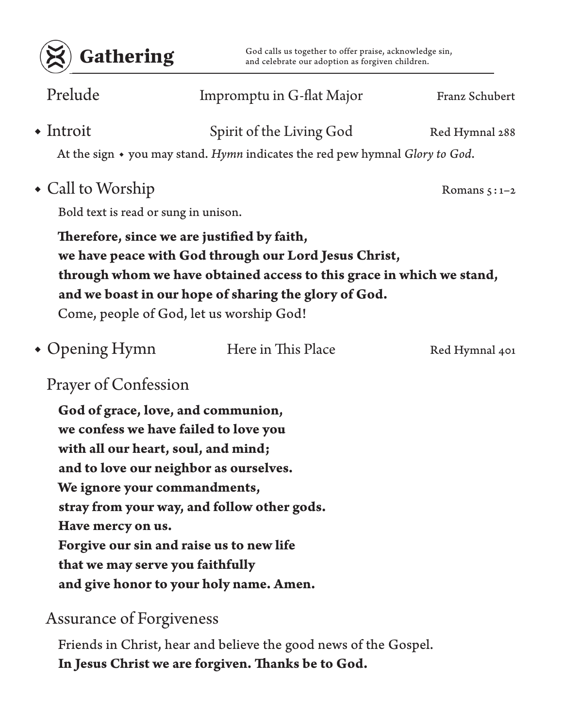

Gathering God calls us together to offer praise, acknowledge sin,<br>and celebrate our adoption as forgiven children. and celebrate our adoption as forgiven children.

| Prelude                              | Impromptu in G-flat Major                                                                                                                                                                                                                                                                                                   | Franz Schubert |  |  |
|--------------------------------------|-----------------------------------------------------------------------------------------------------------------------------------------------------------------------------------------------------------------------------------------------------------------------------------------------------------------------------|----------------|--|--|
| $\bullet$ Introit                    | Spirit of the Living God<br>At the sign • you may stand. Hymn indicates the red pew hymnal Glory to God.                                                                                                                                                                                                                    | Red Hymnal 288 |  |  |
| • Call to Worship                    |                                                                                                                                                                                                                                                                                                                             | Romans $5:1-2$ |  |  |
| Bold text is read or sung in unison. |                                                                                                                                                                                                                                                                                                                             |                |  |  |
|                                      | Therefore, since we are justified by faith,<br>we have peace with God through our Lord Jesus Christ,<br>through whom we have obtained access to this grace in which we stand,<br>and we boast in our hope of sharing the glory of God.<br>Come, people of God, let us worship God!                                          |                |  |  |
| $\bullet$ Opening Hymn               | Here in This Place                                                                                                                                                                                                                                                                                                          | Red Hymnal 401 |  |  |
| <b>Prayer of Confession</b>          |                                                                                                                                                                                                                                                                                                                             |                |  |  |
| Have mercy on us.                    | God of grace, love, and communion,<br>we confess we have failed to love you<br>with all our heart, soul, and mind;<br>and to love our neighbor as ourselves.<br>We ignore your commandments,<br>stray from your way, and follow other gods.<br>Forgive our sin and raise us to new life<br>that we may serve you faithfully |                |  |  |

**and give honor to your holy name. Amen.**

### Assurance of Forgiveness

Friends in Christ, hear and believe the good news of the Gospel. **In Jesus Christ we are forgiven. Thanks be to God.**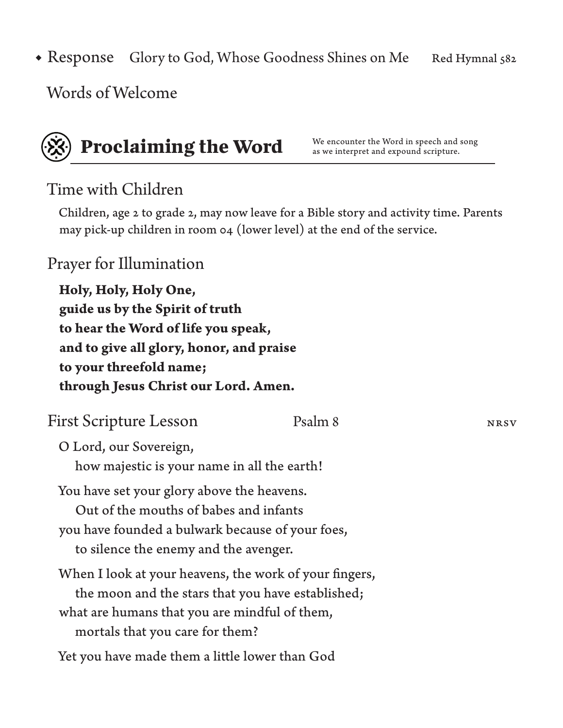Glory to God, Whose Goodness Shines on Me Red Hymnal 582 • Response

Words of Welcome



# **Proclaiming the Word** We encounter the Word in speech and song

as we interpret and expound scripture.

### Time with Children

Children, age 2 to grade 2, may now leave for a Bible story and activity time. Parents may pick-up children in room 04 (lower level) at the end of the service.

### Prayer for Illumination

**Holy, Holy, Holy One, guide us by the Spirit of truth to hear the Word of life you speak, and to give all glory, honor, and praise to your threefold name; through Jesus Christ our Lord. Amen.**

| <b>First Scripture Lesson</b>                          | Psalm 8 | <b>NRSV</b> |
|--------------------------------------------------------|---------|-------------|
| O Lord, our Sovereign,                                 |         |             |
| how majestic is your name in all the earth!            |         |             |
| You have set your glory above the heavens.             |         |             |
| Out of the mouths of babes and infants                 |         |             |
| you have founded a bulwark because of your foes,       |         |             |
| to silence the enemy and the avenger.                  |         |             |
| When I look at your heavens, the work of your fingers, |         |             |
| the moon and the stars that you have established;      |         |             |
| what are humans that you are mindful of them,          |         |             |
| mortals that you care for them?                        |         |             |
| Yet you have made them a little lower than God         |         |             |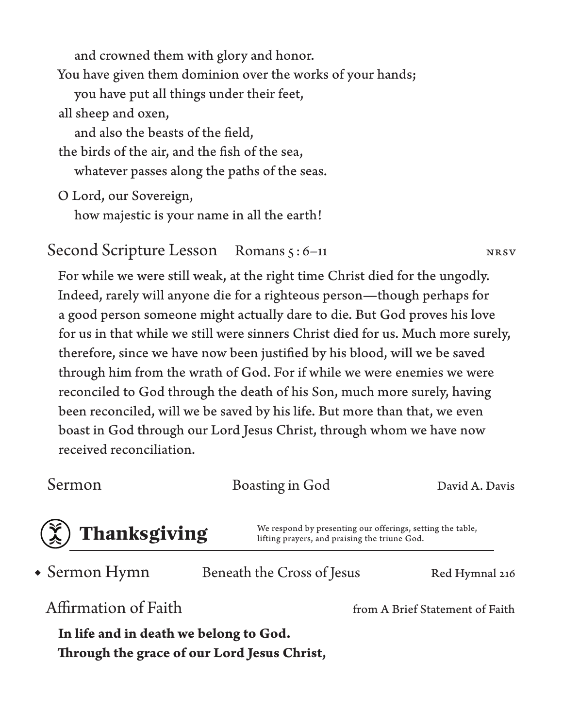and crowned them with glory and honor.

You have given them dominion over the works of your hands;

you have put all things under their feet,

all sheep and oxen,

and also the beasts of the field,

the birds of the air, and the fish of the sea, whatever passes along the paths of the seas.

O Lord, our Sovereign,

how majestic is your name in all the earth!

### Second Scripture Lesson Romans 5: 6–11 NRSV

For while we were still weak, at the right time Christ died for the ungodly. Indeed, rarely will anyone die for a righteous person—though perhaps for a good person someone might actually dare to die. But God proves his love for us in that while we still were sinners Christ died for us. Much more surely, therefore, since we have now been justified by his blood, will we be saved through him from the wrath of God. For if while we were enemies we were reconciled to God through the death of his Son, much more surely, having been reconciled, will we be saved by his life. But more than that, we even boast in God through our Lord Jesus Christ, through whom we have now received reconciliation.

Sermon Boasting in God David A. Davis

**Thanksgiving** We respond by presenting our offerings, setting the table,<br>lifting prayers, and praising the triune God. lifting prayers, and praising the triune God.

Beneath the Cross of Jesus Red Hymnal 216 Affirmation of Faith from A Brief Statement of Faith • Sermon Hymn

**In life and in death we belong to God. Through the grace of our Lord Jesus Christ,**

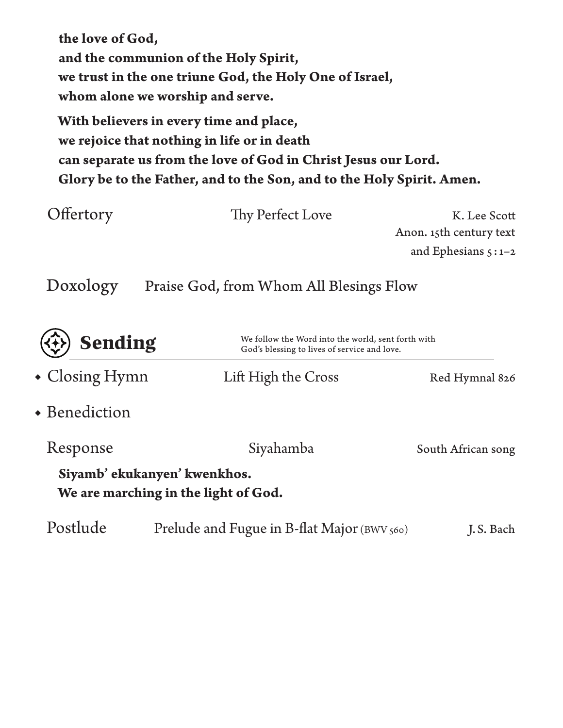**the love of God, and the communion of the Holy Spirit, we trust in the one triune God, the Holy One of Israel, whom alone we worship and serve.**

**With believers in every time and place, we rejoice that nothing in life or in death can separate us from the love of God in Christ Jesus our Lord. Glory be to the Father, and to the Son, and to the Holy Spirit. Amen.**

| Offertory | Thy Perfect Love                        | K. Lee Scott            |
|-----------|-----------------------------------------|-------------------------|
|           |                                         | Anon. 15th century text |
|           |                                         | and Ephesians $5:1-2$   |
| Doxology  | Praise God, from Whom All Blesings Flow |                         |

| <b>Sending</b>         | God's blessing to lives of service and love.                         | We follow the Word into the world, sent forth with |  |
|------------------------|----------------------------------------------------------------------|----------------------------------------------------|--|
| $\bullet$ Closing Hymn | Lift High the Cross                                                  | Red Hymnal 826                                     |  |
| • Benediction          |                                                                      |                                                    |  |
| Response               | Siyahamba                                                            | South African song                                 |  |
|                        | Siyamb' ekukanyen' kwenkhos.<br>We are marching in the light of God. |                                                    |  |
| Postlude               | Prelude and Fugue in B-flat Major (BWV 560)                          | J.S. Bach                                          |  |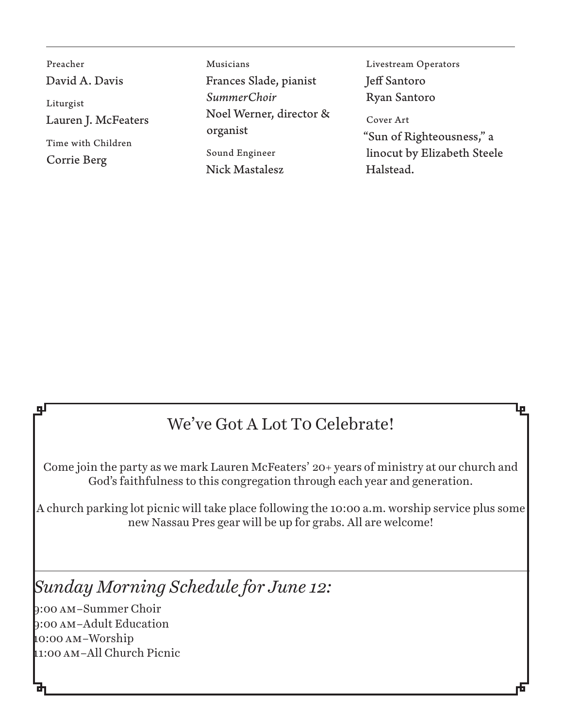Preacher David A. Davis Liturgist Lauren J. McFeaters Time with Children Corrie Berg

Musicians Frances Slade, pianist *SummerChoir* Noel Werner, director & organist Sound Engineer

Nick Mastalesz

Livestream Operators Jeff Santoro Ryan Santoro

Cover Art "Sun of Righteousness," a linocut by Elizabeth Steele Halstead.

## We've Got A Lot To Celebrate!

Come join the party as we mark Lauren McFeaters' 20+ years of ministry at our church and God's faithfulness to this congregation through each year and generation.

A church parking lot picnic will take place following the 10:00 a.m. worship service plus some new Nassau Pres gear will be up for grabs. All are welcome!

*Sunday Morning Schedule for June 12:*

9:00 am–Summer Choir 9:00 am–Adult Education 10:00 am–Worship 11:00 am–All Church Picnic

qГ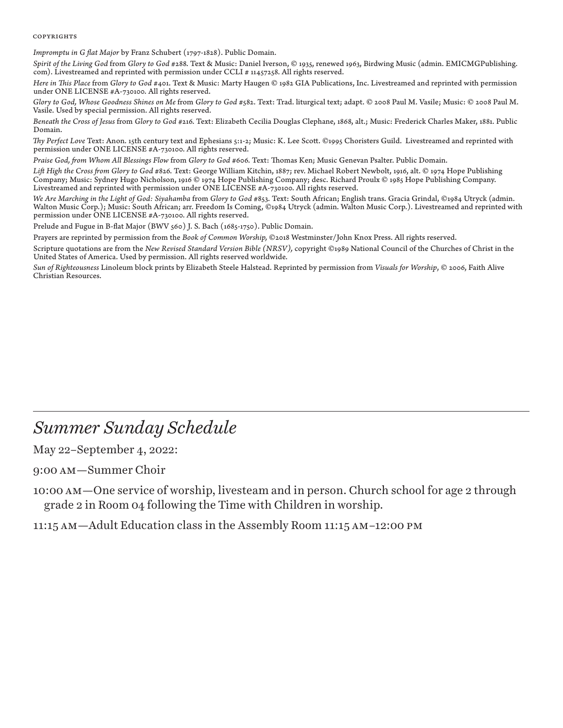### **COPYRIGHTS**

*Impromptu in G flat Major* by Franz Schubert (1797-1828). Public Domain.

*Spirit of the Living God* from *Glory to God* #288. Text & Music: Daniel Iverson, © 1935, renewed 1963, Birdwing Music (admin. EMICMGPublishing. com). Livestreamed and reprinted with permission under CCLI # 11457258. All rights reserved.

*Here in This Place from Glory to God #401.* Text & Music: Marty Haugen © 1982 GIA Publications, Inc. Livestreamed and reprinted with permission under ONE LICENSE #A-730100. All rights reserved.

Glory to God, Whose Goodness Shines on Me from Glory to God #582. Text: Trad. liturgical text; adapt. © 2008 Paul M. Vasile; Music: © 2008 Paul M. Vasile. Used by special permission. All rights reserved.

Beneath the Cross of Jesus from Glory to God #216. Text: Elizabeth Cecilia Douglas Clephane, 1868, alt.; Music: Frederick Charles Maker, 1881. Public Domain.

*Thy Perfect Love* Text: Anon. 15th century text and Ephesians 5:1-2; Music: K. Lee Scott. ©1995 Choristers Guild. Livestreamed and reprinted with permission under ONE LICENSE #A-730100. All rights reserved.

*Praise God, from Whom All Blessings Flow* from *Glory to God* #606. Text: Thomas Ken; Music Genevan Psalter. Public Domain.

Lift High the Cross from Glory to God #826. Text: George William Kitchin, 1887; rev. Michael Robert Newbolt, 1916, alt. © 1974 Hope Publishing Company; Music: Sydney Hugo Nicholson, 1916 © 1974 Hope Publishing Company; desc. Richard Proulx © 1985 Hope Publishing Company. Livestreamed and reprinted with permission under ONE LICENSE #A-730100. All rights reserved.

We Are Marching in the Light of God: Siyahamba from Glory to God #853. Text: South African; English trans. Gracia Grindal, ©1984 Utryck (admin.<br>Walton Music Corp.); Music: South African; arr. Freedom Is Coming, ©1984 Utryc permission under ONE LICENSE #A-730100. All rights reserved.

Prelude and Fugue in B-flat Major (BWV 560) J. S. Bach (1685-1750). Public Domain.

Prayers are reprinted by permission from the *Book of Common Worship,* ©2018 Westminster/John Knox Press. All rights reserved.

Scripture quotations are from the *New Revised Standard Version Bible (NRSV),* copyright ©1989 National Council of the Churches of Christ in the United States of America. Used by permission. All rights reserved worldwide.

*Sun of Righteousness* Linoleum block prints by Elizabeth Steele Halstead. Reprinted by permission from *Visuals for Worship*, © 2006, Faith Alive Christian Resources.

### *Summer Sunday Schedule*

May 22–September 4, 2022:

9:00 am—Summer Choir

10:00 am—One service of worship, livesteam and in person. Church school for age 2 through grade 2 in Room 04 following the Time with Children in worship.

11:15 am—Adult Education class in the Assembly Room 11:15 am–12:00 pm